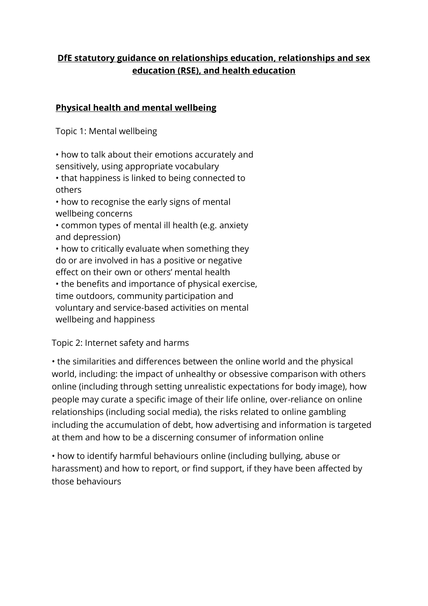## **DfE statutory guidance on relationships education, relationships and sex education (RSE), and health education**

## **Physical health and mental wellbeing**

Topic 1: Mental wellbeing

• how to talk about their emotions accurately and sensitively, using appropriate vocabulary

• that happiness is linked to being connected to others

• how to recognise the early signs of mental wellbeing concerns

• common types of mental ill health (e.g. anxiety and depression)

• how to critically evaluate when something they do or are involved in has a positive or negative effect on their own or others' mental health • the benefits and importance of physical exercise, time outdoors, community participation and voluntary and service-based activities on mental

wellbeing and happiness

## Topic 2: Internet safety and harms

• the similarities and differences between the online world and the physical world, including: the impact of unhealthy or obsessive comparison with others online (including through setting unrealistic expectations for body image), how people may curate a specific image of their life online, over-reliance on online relationships (including social media), the risks related to online gambling including the accumulation of debt, how advertising and information is targeted at them and how to be a discerning consumer of information online

• how to identify harmful behaviours online (including bullying, abuse or harassment) and how to report, or find support, if they have been affected by those behaviours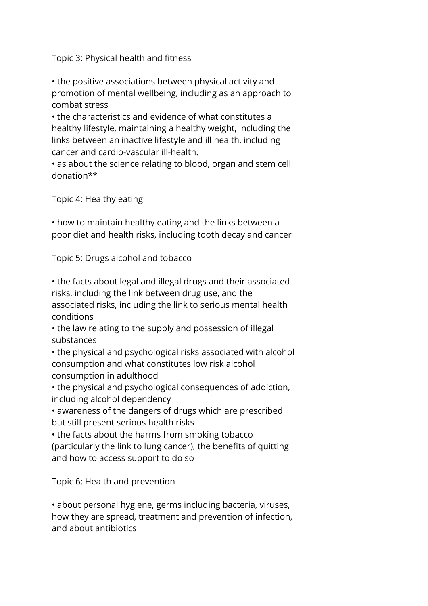Topic 3: Physical health and fitness

• the positive associations between physical activity and promotion of mental wellbeing, including as an approach to combat stress

• the characteristics and evidence of what constitutes a healthy lifestyle, maintaining a healthy weight, including the links between an inactive lifestyle and ill health, including cancer and cardio-vascular ill-health.

• as about the science relating to blood, organ and stem cell donation\*\*

Topic 4: Healthy eating

• how to maintain healthy eating and the links between a poor diet and health risks, including tooth decay and cancer

Topic 5: Drugs alcohol and tobacco

• the facts about legal and illegal drugs and their associated risks, including the link between drug use, and the associated risks, including the link to serious mental health conditions

• the law relating to the supply and possession of illegal substances

• the physical and psychological risks associated with alcohol consumption and what constitutes low risk alcohol consumption in adulthood

• the physical and psychological consequences of addiction, including alcohol dependency

• awareness of the dangers of drugs which are prescribed but still present serious health risks

• the facts about the harms from smoking tobacco (particularly the link to lung cancer), the benefits of quitting and how to access support to do so

Topic 6: Health and prevention

• about personal hygiene, germs including bacteria, viruses, how they are spread, treatment and prevention of infection, and about antibiotics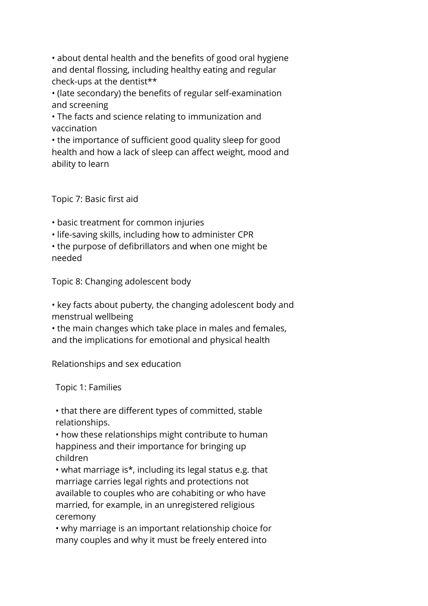• about dental health and the benefits of good oral hygiene and dental flossing, including healthy eating and regular check-ups at the dentist\*\*

• (late secondary) the benefits of regular self-examination and screening

• The facts and science relating to immunization and vaccination

• the importance of sufficient good quality sleep for good health and how a lack of sleep can affect weight, mood and ability to learn

Topic 7: Basic first aid

• basic treatment for common injuries

• life-saving skills, including how to administer CPR

• the purpose of defibrillators and when one might be needed

Topic 8: Changing adolescent body

• key facts about puberty, the changing adolescent body and menstrual wellbeing

• the main changes which take place in males and females, and the implications for emotional and physical health

Relationships and sex education

Topic 1: Families

• that there are different types of committed, stable relationships.

• how these relationships might contribute to human happiness and their importance for bringing up children

• what marriage is\*, including its legal status e.g. that marriage carries legal rights and protections not available to couples who are cohabiting or who have married, for example, in an unregistered religious ceremony

• why marriage is an important relationship choice for many couples and why it must be freely entered into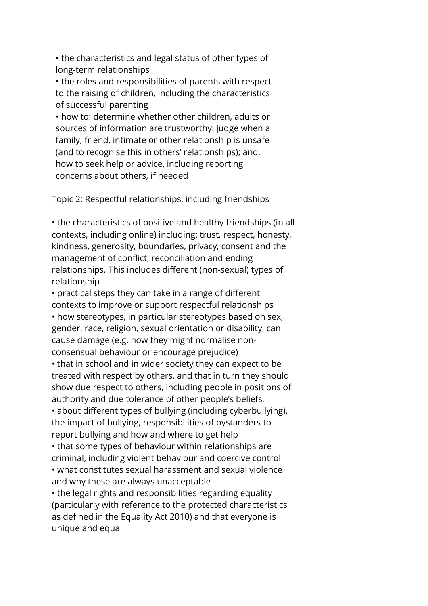• the characteristics and legal status of other types of long-term relationships

• the roles and responsibilities of parents with respect to the raising of children, including the characteristics of successful parenting

• how to: determine whether other children, adults or sources of information are trustworthy: judge when a family, friend, intimate or other relationship is unsafe (and to recognise this in others' relationships); and, how to seek help or advice, including reporting concerns about others, if needed

Topic 2: Respectful relationships, including friendships

• the characteristics of positive and healthy friendships (in all contexts, including online) including: trust, respect, honesty, kindness, generosity, boundaries, privacy, consent and the management of conflict, reconciliation and ending relationships. This includes different (non-sexual) types of relationship

• practical steps they can take in a range of different contexts to improve or support respectful relationships • how stereotypes, in particular stereotypes based on sex, gender, race, religion, sexual orientation or disability, can cause damage (e.g. how they might normalise nonconsensual behaviour or encourage prejudice) • that in school and in wider society they can expect to be treated with respect by others, and that in turn they should show due respect to others, including people in positions of authority and due tolerance of other people's beliefs, • about different types of bullying (including cyberbullying), the impact of bullying, responsibilities of bystanders to report bullying and how and where to get help • that some types of behaviour within relationships are criminal, including violent behaviour and coercive control

• what constitutes sexual harassment and sexual violence and why these are always unacceptable

• the legal rights and responsibilities regarding equality (particularly with reference to the protected characteristics as defined in the Equality Act 2010) and that everyone is unique and equal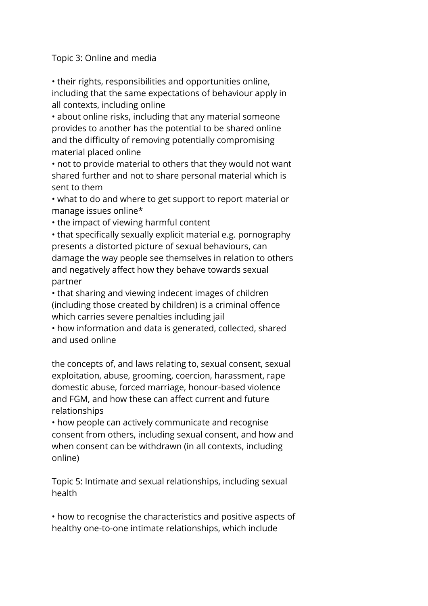Topic 3: Online and media

• their rights, responsibilities and opportunities online, including that the same expectations of behaviour apply in all contexts, including online

• about online risks, including that any material someone provides to another has the potential to be shared online and the difficulty of removing potentially compromising material placed online

• not to provide material to others that they would not want shared further and not to share personal material which is sent to them

• what to do and where to get support to report material or manage issues online\*

• the impact of viewing harmful content

• that specifically sexually explicit material e.g. pornography presents a distorted picture of sexual behaviours, can damage the way people see themselves in relation to others and negatively affect how they behave towards sexual partner

• that sharing and viewing indecent images of children (including those created by children) is a criminal offence which carries severe penalties including jail

• how information and data is generated, collected, shared and used online

the concepts of, and laws relating to, sexual consent, sexual exploitation, abuse, grooming, coercion, harassment, rape domestic abuse, forced marriage, honour-based violence and FGM, and how these can affect current and future relationships

• how people can actively communicate and recognise consent from others, including sexual consent, and how and when consent can be withdrawn (in all contexts, including online)

Topic 5: Intimate and sexual relationships, including sexual health

• how to recognise the characteristics and positive aspects of healthy one-to-one intimate relationships, which include